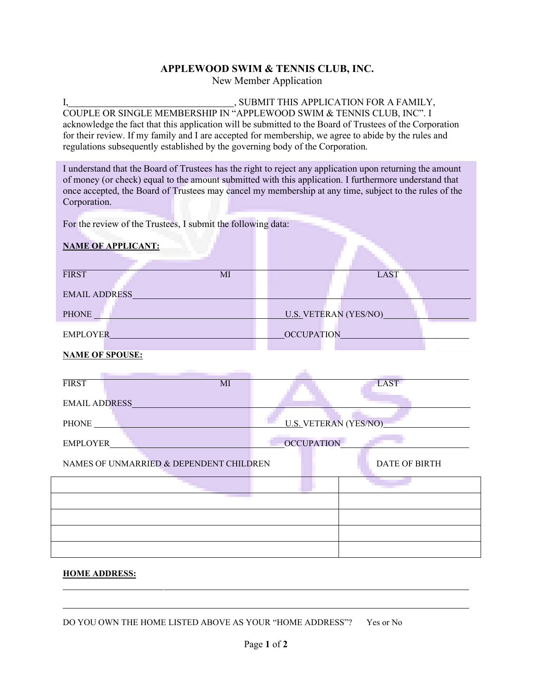## **APPLEWOOD SWIM & TENNIS CLUB, INC.**

New Member Application

I, SUBMIT THIS APPLICATION FOR A FAMILY, COUPLE OR SINGLE MEMBERSHIP IN "APPLEWOOD SWIM & TENNIS CLUB, INC". I acknowledge the fact that this application will be submitted to the Board of Trustees of the Corporation for their review. If my family and I are accepted for membership, we agree to abide by the rules and regulations subsequently established by the governing body of the Corporation.

I understand that the Board of Trustees has the right to reject any application upon returning the amount of money (or check) equal to the amount submitted with this application. I furthermore understand that once accepted, the Board of Trustees may cancel my membership at any time, subject to the rules of the Corporation.

For the review of the Trustees, I submit the following data:

## **NAME OF APPLICANT:**

| <b>FIRST</b>           | MI |                              | <b>LAST</b> |
|------------------------|----|------------------------------|-------------|
| <b>EMAIL ADDRESS</b>   |    |                              |             |
| PHONE                  |    | <b>U.S. VETERAN (YES/NO)</b> |             |
| <b>EMPLOYER</b>        |    | OCCUPATION                   |             |
| <b>NAME OF SPOUSE:</b> |    |                              |             |
|                        |    |                              |             |
| <b>FIRST</b>           | MI |                              | <b>LAST</b> |
| <b>EMAIL ADDRESS</b>   |    |                              |             |

| PHONE                                   | <b>U.S. VETERAN (YES/NO)</b> |                      |  |
|-----------------------------------------|------------------------------|----------------------|--|
| <b>EMPLOYER</b>                         | <b>OCCUPATION</b>            |                      |  |
| NAMES OF UNMARRIED & DEPENDENT CHILDREN |                              | <b>DATE OF BIRTH</b> |  |
|                                         |                              |                      |  |
|                                         |                              |                      |  |
|                                         |                              |                      |  |
|                                         |                              |                      |  |
|                                         |                              |                      |  |

## **HOME ADDRESS:**